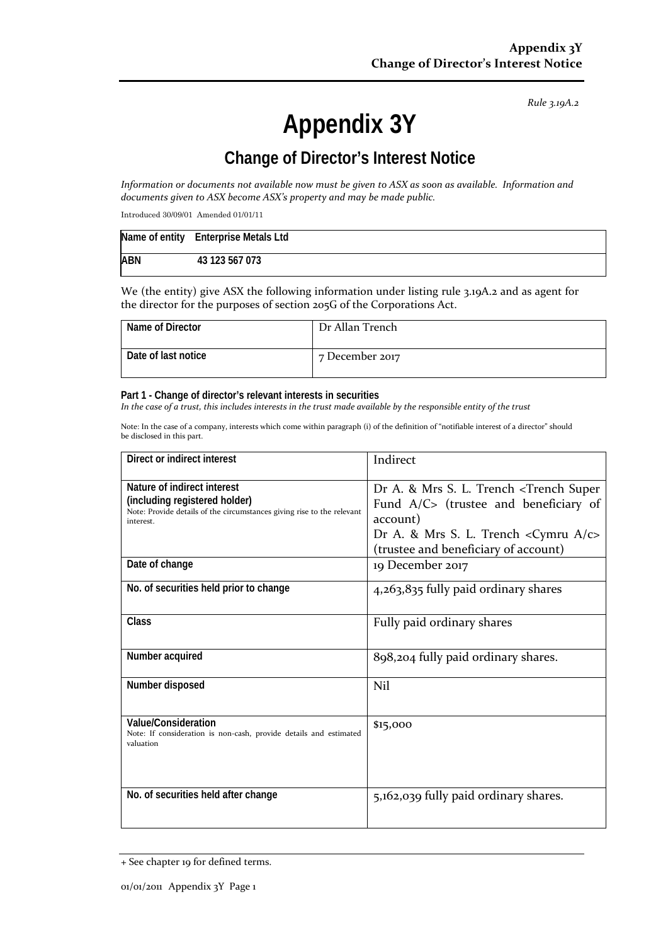*Rule 3.19A.2*

# **Appendix 3Y**

## **Change of Director's Interest Notice**

*Information or documents not available now must be given to ASX as soon as available. Information and documents given to ASX become ASX's property and may be made public.*

Introduced 30/09/01 Amended 01/01/11

|            | Name of entity Enterprise Metals Ltd |
|------------|--------------------------------------|
| <b>ABN</b> | 43 123 567 073                       |

We (the entity) give ASX the following information under listing rule 3.19A.2 and as agent for the director for the purposes of section 205G of the Corporations Act.

| Name of Director    | Dr Allan Trench |
|---------------------|-----------------|
| Date of last notice | 7 December 2017 |

#### **Part 1 - Change of director's relevant interests in securities**

*In the case of a trust, this includes interests in the trust made available by the responsible entity of the trust*

Note: In the case of a company, interests which come within paragraph (i) of the definition of "notifiable interest of a director" should be disclosed in this part.

| Direct or indirect interest                                                                                                                         | Indirect                                                                                                                                                                                                          |
|-----------------------------------------------------------------------------------------------------------------------------------------------------|-------------------------------------------------------------------------------------------------------------------------------------------------------------------------------------------------------------------|
| Nature of indirect interest<br>(including registered holder)<br>Note: Provide details of the circumstances giving rise to the relevant<br>interest. | Dr A. & Mrs S. L. Trench <trench super<br="">Fund <math>A/C</math> (trustee and beneficiary of<br/>account)<br/>Dr A. &amp; Mrs S. L. Trench &lt; Cymru A/c&gt;<br/>(trustee and beneficiary of account)</trench> |
| Date of change                                                                                                                                      | 19 December 2017                                                                                                                                                                                                  |
| No. of securities held prior to change                                                                                                              | 4,263,835 fully paid ordinary shares                                                                                                                                                                              |
| <b>Class</b>                                                                                                                                        | Fully paid ordinary shares                                                                                                                                                                                        |
| Number acquired                                                                                                                                     | 898,204 fully paid ordinary shares.                                                                                                                                                                               |
| Number disposed                                                                                                                                     | Nil                                                                                                                                                                                                               |
| Value/Consideration<br>Note: If consideration is non-cash, provide details and estimated<br>valuation                                               | \$15,000                                                                                                                                                                                                          |
| No. of securities held after change                                                                                                                 | 5,162,039 fully paid ordinary shares.                                                                                                                                                                             |

<sup>+</sup> See chapter 19 for defined terms.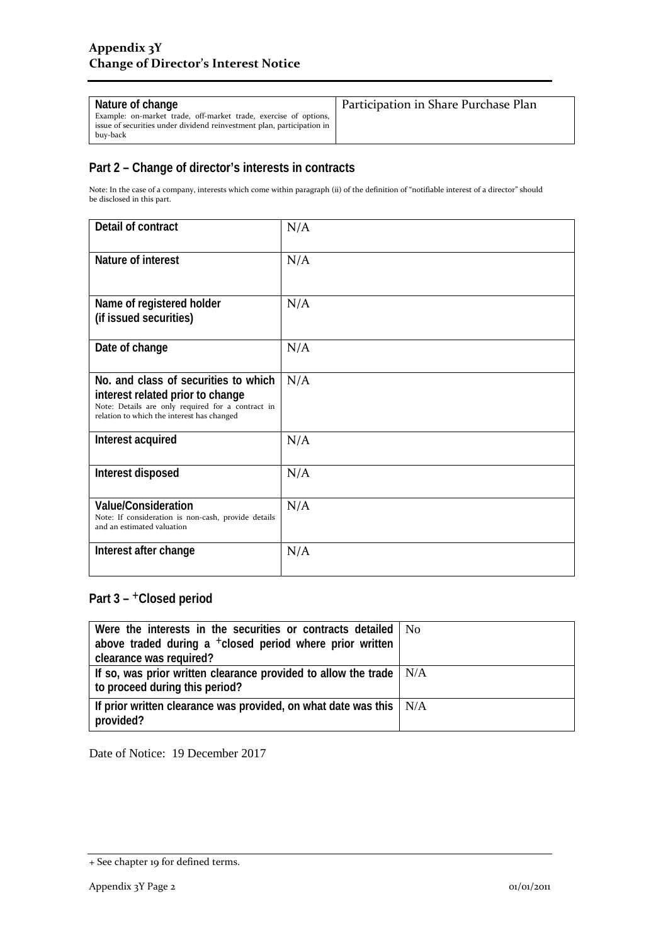| Nature of change<br>Example: on-market trade, off-market trade, exercise of options,<br>issue of securities under dividend reinvestment plan, participation in<br>buy-back | Participation in Share Purchase Plan |
|----------------------------------------------------------------------------------------------------------------------------------------------------------------------------|--------------------------------------|
|----------------------------------------------------------------------------------------------------------------------------------------------------------------------------|--------------------------------------|

### **Part 2 – Change of director's interests in contracts**

Note: In the case of a company, interests which come within paragraph (ii) of the definition of "notifiable interest of a director" should be disclosed in this part.

| Detail of contract                                                                                                                                                          | N/A |
|-----------------------------------------------------------------------------------------------------------------------------------------------------------------------------|-----|
| Nature of interest                                                                                                                                                          | N/A |
| Name of registered holder<br>(if issued securities)                                                                                                                         | N/A |
| Date of change                                                                                                                                                              | N/A |
| No. and class of securities to which<br>interest related prior to change<br>Note: Details are only required for a contract in<br>relation to which the interest has changed | N/A |
| Interest acquired                                                                                                                                                           | N/A |
| Interest disposed                                                                                                                                                           | N/A |
| <b>Value/Consideration</b><br>Note: If consideration is non-cash, provide details<br>and an estimated valuation                                                             | N/A |
| Interest after change                                                                                                                                                       | N/A |

## **Part 3 –** +**Closed period**

| Were the interests in the securities or contracts detailed   No           |  |
|---------------------------------------------------------------------------|--|
| above traded during a <sup>+</sup> closed period where prior written      |  |
| clearance was required?                                                   |  |
| If so, was prior written clearance provided to allow the trade $\mid N/A$ |  |
| to proceed during this period?                                            |  |
| If prior written clearance was provided, on what date was this $\mid N/A$ |  |
| provided?                                                                 |  |

Date of Notice: 19 December 2017

<sup>+</sup> See chapter 19 for defined terms.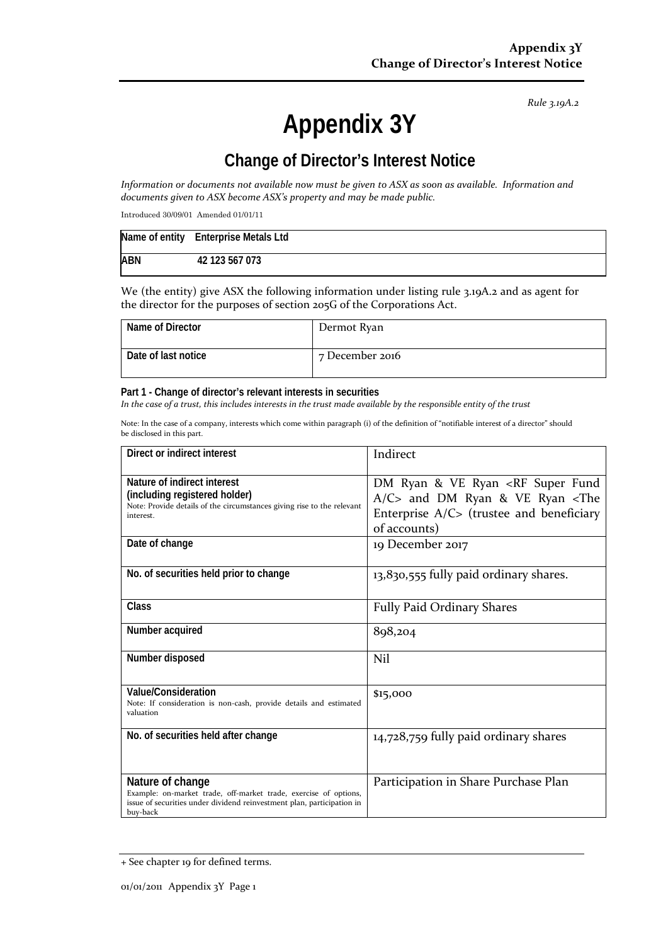*Rule 3.19A.2*

# **Appendix 3Y**

## **Change of Director's Interest Notice**

*Information or documents not available now must be given to ASX as soon as available. Information and documents given to ASX become ASX's property and may be made public.*

Introduced 30/09/01 Amended 01/01/11

|            | Name of entity Enterprise Metals Ltd |
|------------|--------------------------------------|
| <b>ABN</b> | 42 123 567 073                       |

We (the entity) give ASX the following information under listing rule 3.19A.2 and as agent for the director for the purposes of section 205G of the Corporations Act.

| Name of Director    | Dermot Ryan     |
|---------------------|-----------------|
| Date of last notice | 7 December 2016 |

#### **Part 1 - Change of director's relevant interests in securities**

*In the case of a trust, this includes interests in the trust made available by the responsible entity of the trust*

Note: In the case of a company, interests which come within paragraph (i) of the definition of "notifiable interest of a director" should be disclosed in this part.

| Direct or indirect interest                                                                                                                                                | Indirect                                                                                                                                                                         |
|----------------------------------------------------------------------------------------------------------------------------------------------------------------------------|----------------------------------------------------------------------------------------------------------------------------------------------------------------------------------|
| Nature of indirect interest<br>(including registered holder)<br>Note: Provide details of the circumstances giving rise to the relevant<br>interest.                        | DM Ryan & VE Ryan <rf fund<br="" super=""><math>A/C</math> and DM Ryan &amp; VE Ryan <the<br>Enterprise <math>A/C</math> (trustee and beneficiary<br/>of accounts)</the<br></rf> |
| Date of change                                                                                                                                                             | 19 December 2017                                                                                                                                                                 |
| No. of securities held prior to change                                                                                                                                     | 13,830,555 fully paid ordinary shares.                                                                                                                                           |
| Class                                                                                                                                                                      | <b>Fully Paid Ordinary Shares</b>                                                                                                                                                |
| Number acquired                                                                                                                                                            | 898,204                                                                                                                                                                          |
| Number disposed                                                                                                                                                            | Nil                                                                                                                                                                              |
| Value/Consideration<br>Note: If consideration is non-cash, provide details and estimated<br>valuation                                                                      | \$15,000                                                                                                                                                                         |
| No. of securities held after change                                                                                                                                        | 14,728,759 fully paid ordinary shares                                                                                                                                            |
| Nature of change<br>Example: on-market trade, off-market trade, exercise of options,<br>issue of securities under dividend reinvestment plan, participation in<br>buy-back | Participation in Share Purchase Plan                                                                                                                                             |

<sup>+</sup> See chapter 19 for defined terms.